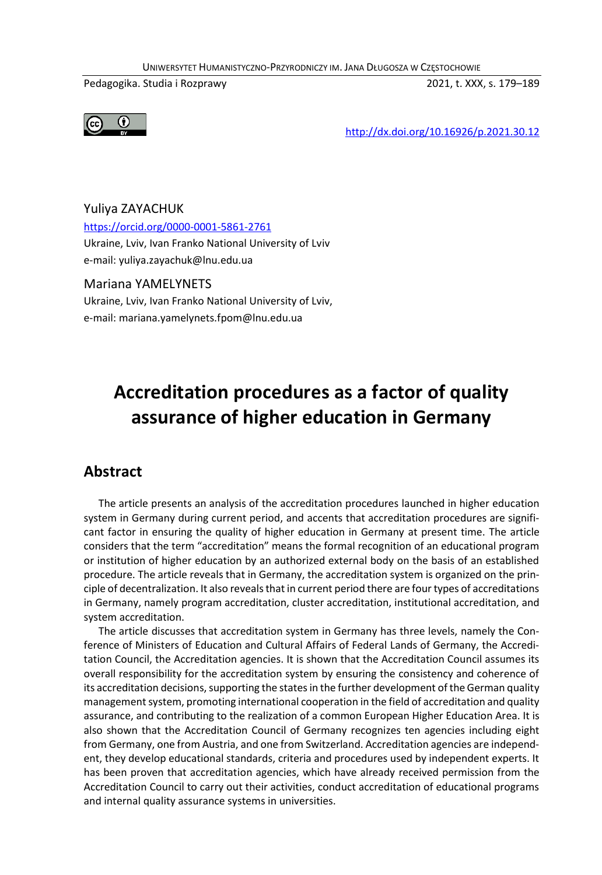UNIWERSYTET HUMANISTYCZNO-PRZYRODNICZY IM. JANA DŁUGOSZA W CZĘSTOCHOWIE

Pedagogika. Studia i Rozprawy 2021, t. XXX, s. 179–189



http://dx.doi.org/10.16926/p.2021.30.12

Yuliya ZAYACHUK https://orcid.org/0000-0001-5861-2761 Ukraine, Lviv, Ivan Franko National University of Lviv e-mail: yuliya.zayachuk@lnu.edu.ua

#### Mariana YAMELYNETS

Ukraine, Lviv, Ivan Franko National University of Lviv, e-mail: mariana.yamelynets.fpom@lnu.edu.ua

# **Accreditation procedures as a factor of quality assurance of higher education in Germany**

### **Abstract**

The article presents an analysis of the accreditation procedures launched in higher education system in Germany during current period, and accents that accreditation procedures are significant factor in ensuring the quality of higher education in Germany at present time. The article considers that the term "accreditation" means the formal recognition of an educational program or institution of higher education by an authorized external body on the basis of an established procedure. The article reveals that in Germany, the accreditation system is organized on the principle of decentralization. It also reveals that in current period there are four types of accreditations in Germany, namely program accreditation, cluster accreditation, institutional accreditation, and system accreditation.

The article discusses that accreditation system in Germany has three levels, namely the Conference of Ministers of Education and Cultural Affairs of Federal Lands of Germany, the Accreditation Council, the Accreditation agencies. It is shown that the Accreditation Council assumes its overall responsibility for the accreditation system by ensuring the consistency and coherence of its accreditation decisions, supporting the states in the further development of the German quality management system, promoting international cooperation in the field of accreditation and quality assurance, and contributing to the realization of a common European Higher Education Area. It is also shown that the Accreditation Council of Germany recognizes ten agencies including eight from Germany, one from Austria, and one from Switzerland. Accreditation agencies are independent, they develop educational standards, criteria and procedures used by independent experts. It has been proven that accreditation agencies, which have already received permission from the Accreditation Council to carry out their activities, conduct accreditation of educational programs and internal quality assurance systems in universities.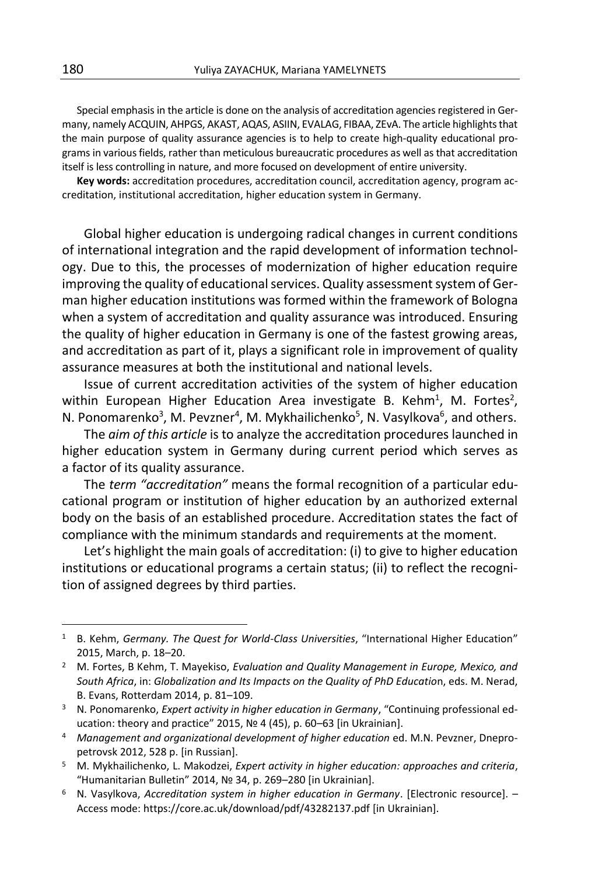Special emphasis in the article is done on the analysis of accreditation agencies registered in Germany, namely ACQUIN, AHPGS, AKAST, AQAS, ASIIN, EVALAG, FIBAA, ZEvA. The article highlights that the main purpose of quality assurance agencies is to help to create high-quality educational programs in various fields, rather than meticulous bureaucratic procedures as well as that accreditation itself is less controlling in nature, and more focused on development of entire university.

**Key words:** accreditation procedures, accreditation council, accreditation agency, program accreditation, institutional accreditation, higher education system in Germany.

Global higher education is undergoing radical changes in current conditions of international integration and the rapid development of information technology. Due to this, the processes of modernization of higher education require improving the quality of educational services. Quality assessment system of German higher education institutions was formed within the framework of Bologna when a system of accreditation and quality assurance was introduced. Ensuring the quality of higher education in Germany is one of the fastest growing areas, and accreditation as part of it, plays a significant role in improvement of quality assurance measures at both the institutional and national levels.

Issue of current accreditation activities of the system of higher education within European Higher Education Area investigate B. Kehm<sup>1</sup>, M. Fortes<sup>2</sup>, N. Ponomarenko<sup>3</sup>, M. Pevzner<sup>4</sup>, M. Mykhailichenko<sup>5</sup>, N. Vasylkova<sup>6</sup>, and others.

The *aim of this article* is to analyze the accreditation procedures launched in higher education system in Germany during current period which serves as a factor of its quality assurance.

The *term "accreditation"* means the formal recognition of a particular educational program or institution of higher education by an authorized external body on the basis of an established procedure. Accreditation states the fact of compliance with the minimum standards and requirements at the moment.

Let's highlight the main goals of accreditation: (i) to give to higher education institutions or educational programs a certain status; (ii) to reflect the recognition of assigned degrees by third parties.

<sup>&</sup>lt;sup>1</sup> B. Kehm, *Germany. The Quest for World-Class Universities*, "International Higher Education" 2015, March, p. 18–20.

<sup>2</sup> M. Fortes, B Kehm, T. Mayekiso, *Evaluation and Quality Management in Europe, Mexico, and South Africa*, in: *Globalization and Its Impacts on the Quality of PhD Educatio*n, eds. M. Nerad, B. Evans, Rotterdam 2014, p. 81–109.

<sup>3</sup> N. Ponomarenko, *Expert activity in higher education in Germany*, "Continuing professional education: theory and practice" 2015, № 4 (45), p. 60–63 [in Ukrainian].

<sup>4</sup> *Management and organizational development of higher education* ed. M.N. Pevzner, Dnepropetrovsk 2012, 528 p. [in Russian].

<sup>5</sup> M. Mykhailichenko, L. Makodzei, *Expert activity in higher education: approaches and criteria*, "Humanitarian Bulletin" 2014, № 34, p. 269–280 [in Ukrainian].

<sup>6</sup> N. Vasylkova, *Accreditation system in higher education in Germany*. [Electronic resource]. – Access mode: https://core.ac.uk/download/pdf/43282137.pdf [in Ukrainian].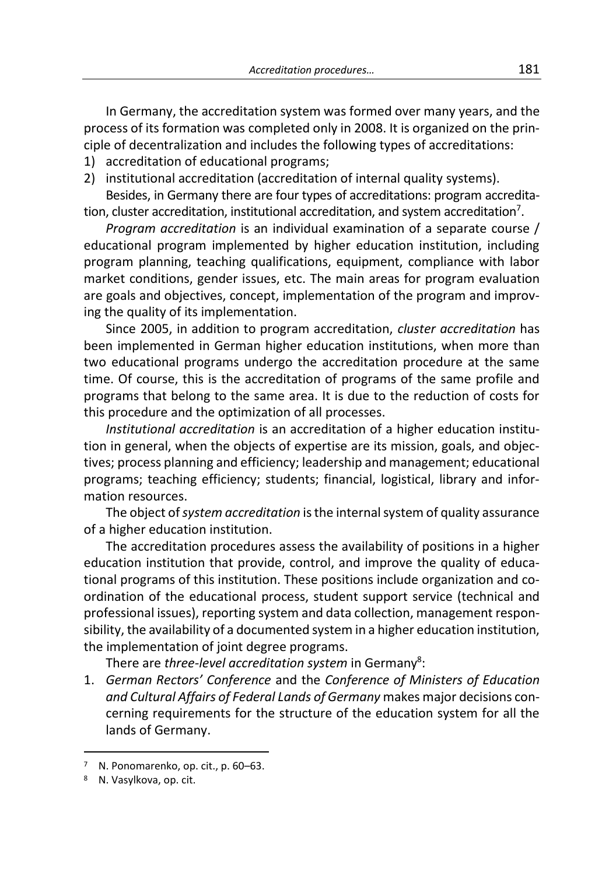In Germany, the accreditation system was formed over many years, and the process of its formation was completed only in 2008. It is organized on the principle of decentralization and includes the following types of accreditations:

- 1) accreditation of educational programs;
- 2) institutional accreditation (accreditation of internal quality systems).

Besides, in Germany there are four types of accreditations: program accreditation, cluster accreditation, institutional accreditation, and system accreditation<sup>7</sup>.

*Program accreditation* is an individual examination of a separate course / educational program implemented by higher education institution, including program planning, teaching qualifications, equipment, compliance with labor market conditions, gender issues, etc. The main areas for program evaluation are goals and objectives, concept, implementation of the program and improving the quality of its implementation.

Since 2005, in addition to program accreditation, *cluster accreditation* has been implemented in German higher education institutions, when more than two educational programs undergo the accreditation procedure at the same time. Of course, this is the accreditation of programs of the same profile and programs that belong to the same area. It is due to the reduction of costs for this procedure and the optimization of all processes.

*Institutional accreditation* is an accreditation of a higher education institution in general, when the objects of expertise are its mission, goals, and objectives; process planning and efficiency; leadership and management; educational programs; teaching efficiency; students; financial, logistical, library and information resources.

The object of *system accreditation* is the internal system of quality assurance of a higher education institution.

The accreditation procedures assess the availability of positions in a higher education institution that provide, control, and improve the quality of educational programs of this institution. These positions include organization and coordination of the educational process, student support service (technical and professional issues), reporting system and data collection, management responsibility, the availability of a documented system in a higher education institution, the implementation of joint degree programs.

There are *three-level accreditation system* in Germany<sup>8</sup>:

1. *German Rectors' Conference* and the *Conference of Ministers of Education and Cultural Affairs of Federal Lands of Germany* makes major decisions concerning requirements for the structure of the education system for all the lands of Germany.

N. Ponomarenko, op. cit., p. 60–63.

<sup>8</sup> N. Vasylkova, op. cit.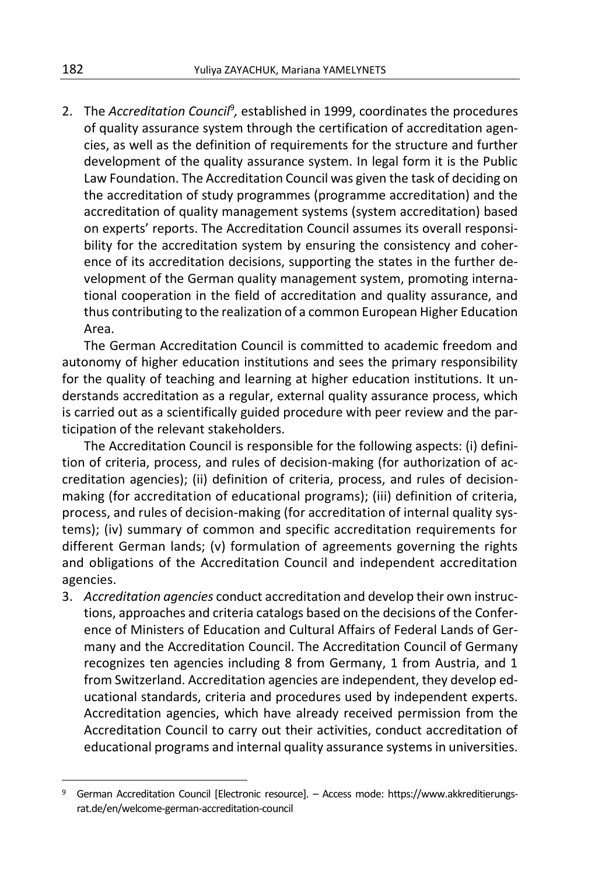2. The *Accreditation Council<sup>9</sup>,* established in 1999, coordinates the procedures of quality assurance system through the certification of accreditation agencies, as well as the definition of requirements for the structure and further development of the quality assurance system. In legal form it is the Public Law Foundation. The Accreditation Council was given the task of deciding on the accreditation of study programmes (programme accreditation) and the accreditation of quality management systems (system accreditation) based on experts' reports. The Accreditation Council assumes its overall responsibility for the accreditation system by ensuring the consistency and coherence of its accreditation decisions, supporting the states in the further development of the German quality management system, promoting international cooperation in the field of accreditation and quality assurance, and thus contributing to the realization of a common European Higher Education Area.

The German Accreditation Council is committed to academic freedom and autonomy of higher education institutions and sees the primary responsibility for the quality of teaching and learning at higher education institutions. It understands accreditation as a regular, external quality assurance process, which is carried out as a scientifically guided procedure with peer review and the participation of the relevant stakeholders.

The Accreditation Council is responsible for the following aspects: (i) definition of criteria, process, and rules of decision-making (for authorization of accreditation agencies); (ii) definition of criteria, process, and rules of decisionmaking (for accreditation of educational programs); (iii) definition of criteria, process, and rules of decision-making (for accreditation of internal quality systems); (iv) summary of common and specific accreditation requirements for different German lands; (v) formulation of agreements governing the rights and obligations of the Accreditation Council and independent accreditation agencies.

3. *Accreditation agencies* conduct accreditation and develop their own instructions, approaches and criteria catalogs based on the decisions of the Conference of Ministers of Education and Cultural Affairs of Federal Lands of Germany and the Accreditation Council. The Accreditation Council of Germany recognizes ten agencies including 8 from Germany, 1 from Austria, and 1 from Switzerland. Accreditation agencies are independent, they develop educational standards, criteria and procedures used by independent experts. Accreditation agencies, which have already received permission from the Accreditation Council to carry out their activities, conduct accreditation of educational programs and internal quality assurance systems in universities.

 $\overline{a}$ 

<sup>9</sup> German Accreditation Council [Electronic resource]. – Access mode: https://www.akkreditierungsrat.de/en/welcome-german-accreditation-council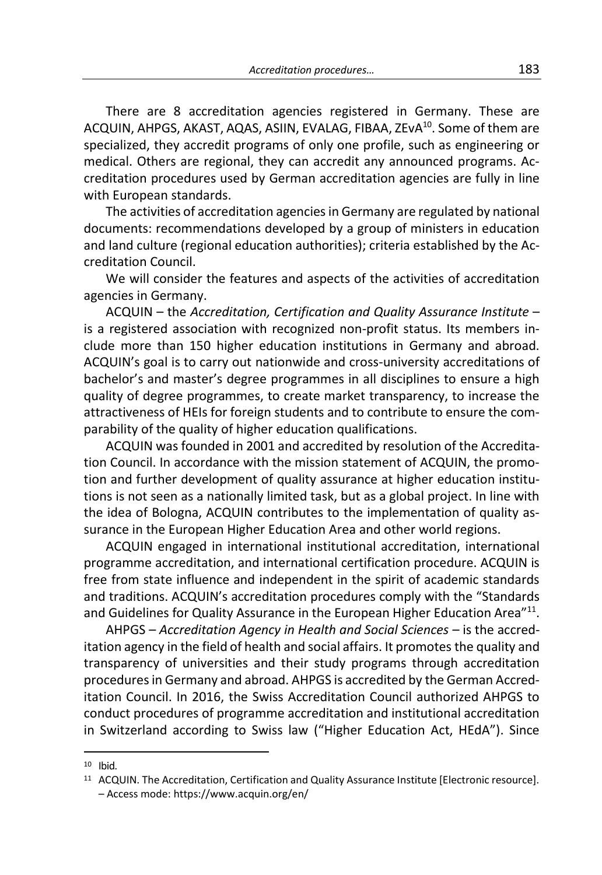There are 8 accreditation agencies registered in Germany. These are ACQUIN, AHPGS, AKAST, AQAS, ASIIN, EVALAG, FIBAA, ZEvA<sup>10</sup>. Some of them are specialized, they accredit programs of only one profile, such as engineering or medical. Others are regional, they can accredit any announced programs. Accreditation procedures used by German accreditation agencies are fully in line with European standards.

The activities of accreditation agencies in Germany are regulated by national documents: recommendations developed by a group of ministers in education and land culture (regional education authorities); criteria established by the Accreditation Council.

We will consider the features and aspects of the activities of accreditation agencies in Germany.

ACQUIN – the *Accreditation, Certification and Quality Assurance Institute* – is a registered association with recognized non-profit status. Its members include more than 150 higher education institutions in Germany and abroad. ACQUIN's goal is to carry out nationwide and cross-university accreditations of bachelor's and master's degree programmes in all disciplines to ensure a high quality of degree programmes, to create market transparency, to increase the attractiveness of HEIs for foreign students and to contribute to ensure the comparability of the quality of higher education qualifications.

ACQUIN was founded in 2001 and accredited by resolution of the Accreditation Council. In accordance with the mission statement of ACQUIN, the promotion and further development of quality assurance at higher education institutions is not seen as a nationally limited task, but as a global project. In line with the idea of Bologna, ACQUIN contributes to the implementation of quality assurance in the European Higher Education Area and other world regions.

ACQUIN engaged in international institutional accreditation, international programme accreditation, and international certification procedure. ACQUIN is free from state influence and independent in the spirit of academic standards and traditions. ACQUIN's accreditation procedures comply with the "Standards and Guidelines for Quality Assurance in the European Higher Education Area"<sup>11</sup>.

AHPGS – *Accreditation Agency in Health and Social Sciences* – is the accreditation agency in the field of health and social affairs. It promotes the quality and transparency of universities and their study programs through accreditation procedures in Germany and abroad. AHPGS is accredited by the German Accreditation Council. In 2016, the Swiss Accreditation Council authorized AHPGS to conduct procedures of programme accreditation and institutional accreditation in Switzerland according to Swiss law ("Higher Education Act, HEdA"). Since

 $10$  Ibid.

<sup>11</sup> ACQUIN. The Accreditation, Certification and Quality Assurance Institute [Electronic resource]. – Access mode: https://www.acquin.org/en/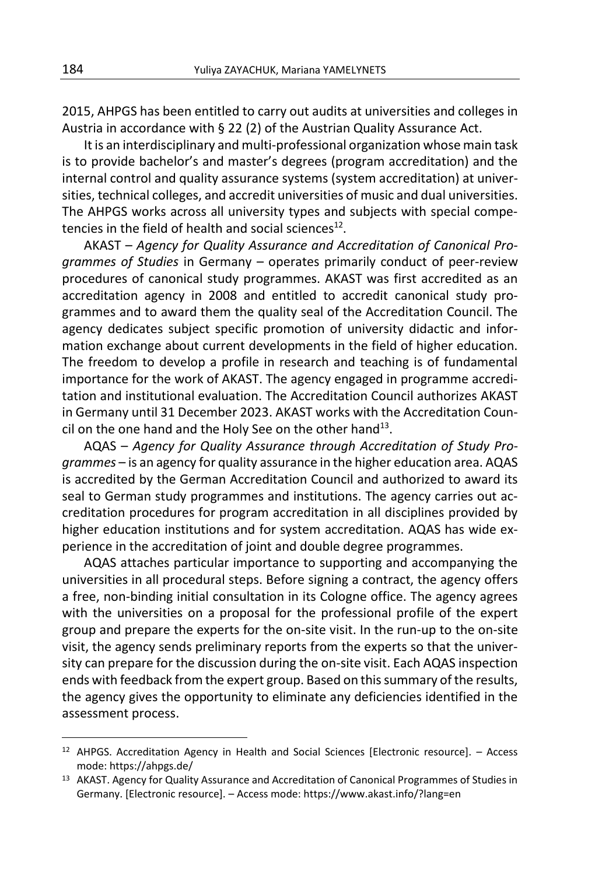2015, AHPGS has been entitled to carry out audits at universities and colleges in Austria in accordance with § 22 (2) of the Austrian Quality Assurance Act.

It is an interdisciplinary and multi-professional organization whose main task is to provide bachelor's and master's degrees (program accreditation) and the internal control and quality assurance systems (system accreditation) at universities, technical colleges, and accredit universities of music and dual universities. The AHPGS works across all university types and subjects with special competencies in the field of health and social sciences $^{12}$ .

AKAST – *Agency for Quality Assurance and Accreditation of Canonical Programmes of Studies* in Germany – operates primarily conduct of peer-review procedures of canonical study programmes. AKAST was first accredited as an accreditation agency in 2008 and entitled to accredit canonical study programmes and to award them the quality seal of the Accreditation Council. The agency dedicates subject specific promotion of university didactic and information exchange about current developments in the field of higher education. The freedom to develop a profile in research and teaching is of fundamental importance for the work of AKAST. The agency engaged in programme accreditation and institutional evaluation. The Accreditation Council authorizes AKAST in Germany until 31 December 2023. AKAST works with the Accreditation Council on the one hand and the Holy See on the other hand $^{13}$ .

AQAS – *Agency for Quality Assurance through Accreditation of Study Programmes* – is an agency for quality assurance in the higher education area. AQAS is accredited by the German Accreditation Council and authorized to award its seal to German study programmes and institutions. The agency carries out accreditation procedures for program accreditation in all disciplines provided by higher education institutions and for system accreditation. AQAS has wide experience in the accreditation of joint and double degree programmes.

AQAS attaches particular importance to supporting and accompanying the universities in all procedural steps. Before signing a contract, the agency offers a free, non-binding initial consultation in its Cologne office. The agency agrees with the universities on a proposal for the professional profile of the expert group and prepare the experts for the on-site visit. In the run-up to the on-site visit, the agency sends preliminary reports from the experts so that the university can prepare for the discussion during the on-site visit. Each AQAS inspection ends with feedback from the expert group. Based on this summary of the results, the agency gives the opportunity to eliminate any deficiencies identified in the assessment process.

 $\overline{a}$ 

<sup>12</sup> AHPGS. Accreditation Agency in Health and Social Sciences [Electronic resource]. – Access mode: https://ahpgs.de/

<sup>&</sup>lt;sup>13</sup> AKAST. Agency for Quality Assurance and Accreditation of Canonical Programmes of Studies in Germany. [Electronic resource]. – Access mode: https://www.akast.info/?lang=en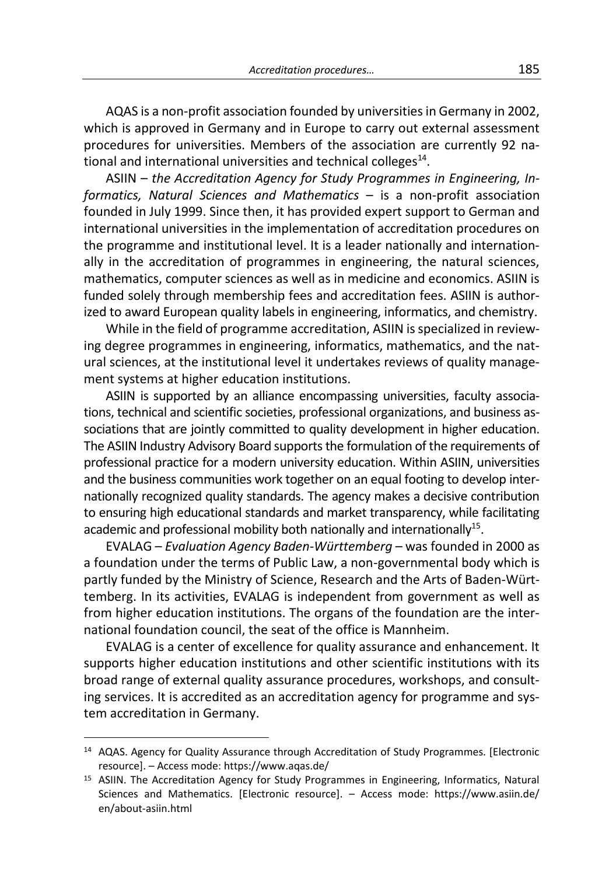AQAS is a non-profit association founded by universities in Germany in 2002, which is approved in Germany and in Europe to carry out external assessment procedures for universities. Members of the association are currently 92 national and international universities and technical colleges $^{14}$ .

ASIIN – *the Accreditation Agency for Study Programmes in Engineering, Informatics, Natural Sciences and Mathematics* – is a non-profit association founded in July 1999. Since then, it has provided expert support to German and international universities in the implementation of accreditation procedures on the programme and institutional level. It is a leader nationally and internationally in the accreditation of programmes in engineering, the natural sciences, mathematics, computer sciences as well as in medicine and economics. ASIIN is funded solely through membership fees and accreditation fees. ASIIN is authorized to award European quality labels in engineering, informatics, and chemistry.

While in the field of programme accreditation, ASIIN is specialized in reviewing degree programmes in engineering, informatics, mathematics, and the natural sciences, at the institutional level it undertakes reviews of quality management systems at higher education institutions.

ASIIN is supported by an alliance encompassing universities, faculty associations, technical and scientific societies, professional organizations, and business associations that are jointly committed to quality development in higher education. The ASIIN Industry Advisory Board supports the formulation of the requirements of professional practice for a modern university education. Within ASIIN, universities and the business communities work together on an equal footing to develop internationally recognized quality standards. The agency makes a decisive contribution to ensuring high educational standards and market transparency, while facilitating academic and professional mobility both nationally and internationally<sup>15</sup>.

EVALAG – *Evaluation Agency Baden-Württemberg* – was founded in 2000 as a foundation under the terms of Public Law, a non-governmental body which is partly funded by the Ministry of Science, Research and the Arts of Baden-Württemberg. In its activities, EVALAG is independent from government as well as from higher education institutions. The organs of the foundation are the international foundation council, the seat of the office is Mannheim.

EVALAG is a center of excellence for quality assurance and enhancement. It supports higher education institutions and other scientific institutions with its broad range of external quality assurance procedures, workshops, and consulting services. It is accredited as an accreditation agency for programme and system accreditation in Germany.

-

<sup>14</sup> AQAS. Agency for Quality Assurance through Accreditation of Study Programmes. [Electronic resource]. – Access mode: https://www.aqas.de/

<sup>&</sup>lt;sup>15</sup> ASIIN. The Accreditation Agency for Study Programmes in Engineering, Informatics, Natural Sciences and Mathematics. [Electronic resource]. – Access mode: https://www.asiin.de/ en/about-asiin.html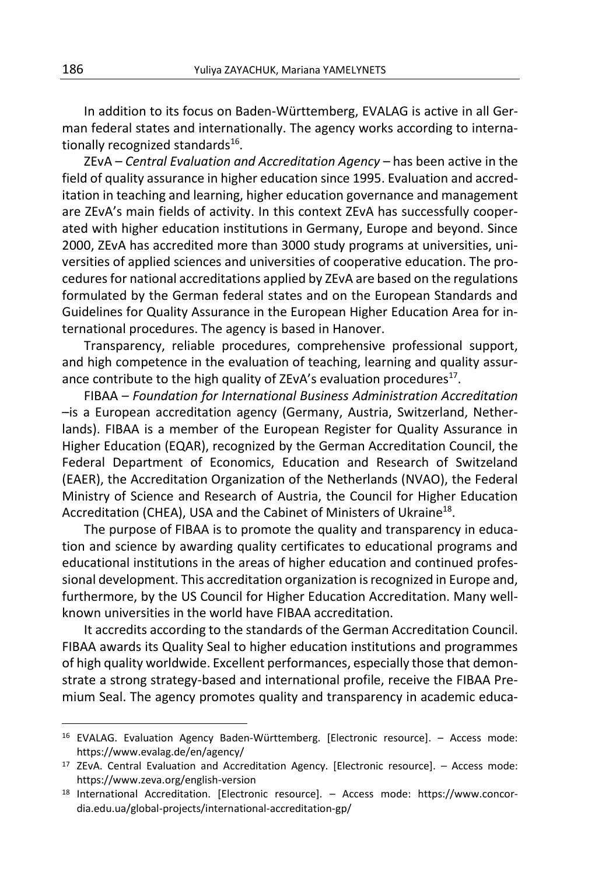In addition to its focus on Baden-Württemberg, EVALAG is active in all German federal states and internationally. The agency works according to internationally recognized standards<sup>16</sup>.

ZEvA – *Central Evaluation and Accreditation Agency* – has been active in the field of quality assurance in higher education since 1995. Evaluation and accreditation in teaching and learning, higher education governance and management are ZEvA's main fields of activity. In this context ZEvA has successfully cooperated with higher education institutions in Germany, Europe and beyond. Since 2000, ZEvA has accredited more than 3000 study programs at universities, universities of applied sciences and universities of cooperative education. The procedures for national accreditations applied by ZEvA are based on the regulations formulated by the German federal states and on the European Standards and Guidelines for Quality Assurance in the European Higher Education Area for international procedures. The agency is based in Hanover.

Transparency, reliable procedures, comprehensive professional support, and high competence in the evaluation of teaching, learning and quality assurance contribute to the high quality of ZEvA's evaluation procedures $^{17}$ .

FIBAA – *Foundation for International Business Administration Accreditation* –is a European accreditation agency (Germany, Austria, Switzerland, Netherlands). FIBAA is a member of the European Register for Quality Assurance in Higher Education (EQAR), recognized by the German Accreditation Council, the Federal Department of Economics, Education and Research of Switzeland (EAER), the Accreditation Organization of the Netherlands (NVAO), the Federal Ministry of Science and Research of Austria, the Council for Higher Education Accreditation (CHEA), USA and the Cabinet of Ministers of Ukraine<sup>18</sup>.

The purpose of FIBAA is to promote the quality and transparency in education and science by awarding quality certificates to educational programs and educational institutions in the areas of higher education and continued professional development. This accreditation organization is recognized in Europe and, furthermore, by the US Council for Higher Education Accreditation. Many wellknown universities in the world have FIBAA accreditation.

It accredits according to the standards of the German Accreditation Council. FIBAA awards its Quality Seal to higher education institutions and programmes of high quality worldwide. Excellent performances, especially those that demonstrate a strong strategy-based and international profile, receive the FIBAA Premium Seal. The agency promotes quality and transparency in academic educa-

 $\overline{a}$ 

<sup>16</sup> EVALAG. Evaluation Agency Baden-Württemberg. [Electronic resource]. – Access mode: https://www.evalag.de/en/agency/

<sup>17</sup> ZEvA. Central Evaluation and Accreditation Agency. [Electronic resource]. – Access mode: https://www.zeva.org/english-version

<sup>18</sup> International Accreditation. [Electronic resource]. – Access mode: https://www.concordia.edu.ua/global-projects/international-accreditation-gp/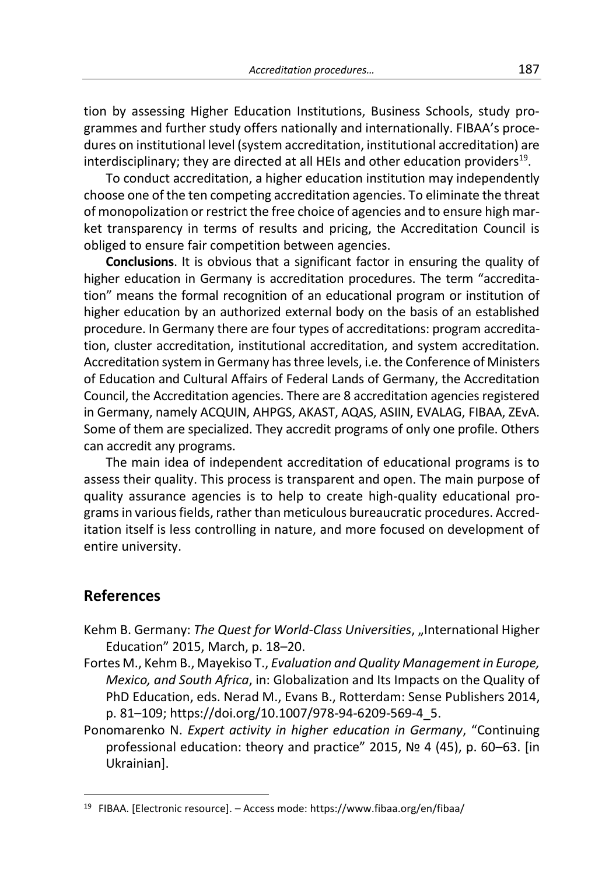tion by assessing Higher Education Institutions, Business Schools, study programmes and further study offers nationally and internationally. FIBAA's procedures on institutional level (system accreditation, institutional accreditation) are interdisciplinary; they are directed at all HEIs and other education providers $^{19}$ .

To conduct accreditation, a higher education institution may independently choose one of the ten competing accreditation agencies. To eliminate the threat of monopolization or restrict the free choice of agencies and to ensure high market transparency in terms of results and pricing, the Accreditation Council is obliged to ensure fair competition between agencies.

**Conclusions**. It is obvious that a significant factor in ensuring the quality of higher education in Germany is accreditation procedures. The term "accreditation" means the formal recognition of an educational program or institution of higher education by an authorized external body on the basis of an established procedure. In Germany there are four types of accreditations: program accreditation, cluster accreditation, institutional accreditation, and system accreditation. Accreditation system in Germany has three levels, i.e. the Conference of Ministers of Education and Cultural Affairs of Federal Lands of Germany, the Accreditation Council, the Accreditation agencies. There are 8 accreditation agencies registered in Germany, namely ACQUIN, AHPGS, AKAST, AQAS, ASIIN, EVALAG, FIBAA, ZEvA. Some of them are specialized. They accredit programs of only one profile. Others can accredit any programs.

The main idea of independent accreditation of educational programs is to assess their quality. This process is transparent and open. The main purpose of quality assurance agencies is to help to create high-quality educational programs in various fields, rather than meticulous bureaucratic procedures. Accreditation itself is less controlling in nature, and more focused on development of entire university.

### **References**

- Kehm B. Germany: *The Quest for World-Class Universities*, "International Higher Education" 2015, March, p. 18–20.
- Fortes M., Kehm B., Mayekiso T., *Evaluation and Quality Management in Europe, Mexico, and South Africa*, in: Globalization and Its Impacts on the Quality of PhD Education, eds. Nerad M., Evans B., Rotterdam: Sense Publishers 2014, p. 81–109; https://doi.org/10.1007/978-94-6209-569-4\_5.
- Ponomarenko N. *Expert activity in higher education in Germany*, "Continuing professional education: theory and practice" 2015, № 4 (45), p. 60–63. [in Ukrainian].

<sup>19</sup> FIBAA. [Electronic resource]. – Access mode: https://www.fibaa.org/en/fibaa/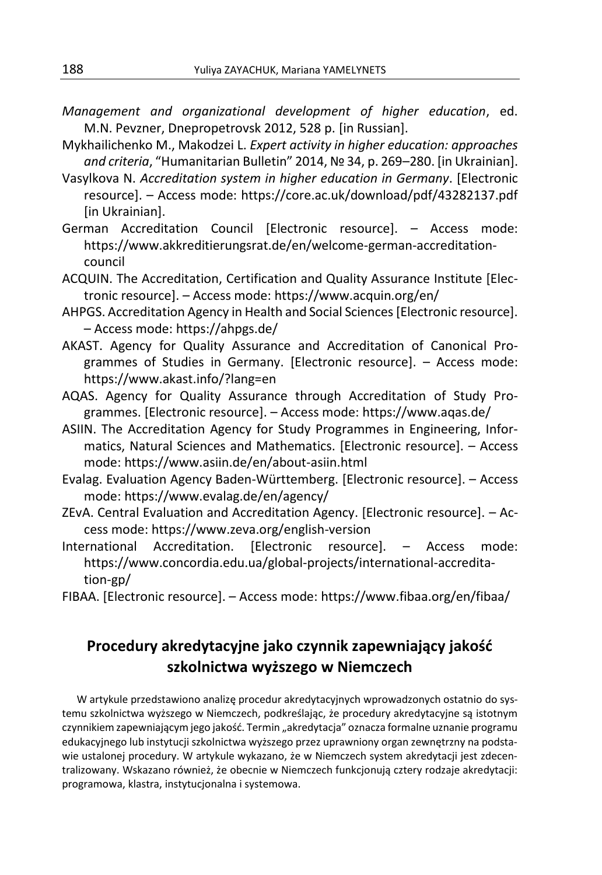- *Management and organizational development of higher education*, ed. M.N. Pevzner, Dnepropetrovsk 2012, 528 p. [in Russian].
- Mykhailichenko M., Makodzei L. *Expert activity in higher education: approaches and criteria*, "Humanitarian Bulletin" 2014, № 34, p. 269–280. [in Ukrainian].
- Vasylkova N. *Accreditation system in higher education in Germany*. [Electronic resource]. – Access mode: https://core.ac.uk/download/pdf/43282137.pdf [in Ukrainian].
- German Accreditation Council [Electronic resource]. Access mode: https://www.akkreditierungsrat.de/en/welcome-german-accreditationcouncil
- ACQUIN. The Accreditation, Certification and Quality Assurance Institute [Electronic resource]. – Access mode: https://www.acquin.org/en/
- AHPGS. Accreditation Agency in Health and Social Sciences [Electronic resource]. – Access mode: https://ahpgs.de/
- AKAST. Agency for Quality Assurance and Accreditation of Canonical Programmes of Studies in Germany. [Electronic resource]. – Access mode: https://www.akast.info/?lang=en
- AQAS. Agency for Quality Assurance through Accreditation of Study Programmes. [Electronic resource]. – Access mode: https://www.aqas.de/
- ASIIN. The Accreditation Agency for Study Programmes in Engineering, Informatics, Natural Sciences and Mathematics. [Electronic resource]. – Access mode: https://www.asiin.de/en/about-asiin.html
- Evalag. Evaluation Agency Baden-Württemberg. [Electronic resource]. Access mode: https://www.evalag.de/en/agency/
- ZEvA. Central Evaluation and Accreditation Agency. [Electronic resource]. Access mode: https://www.zeva.org/english-version
- International Accreditation. [Electronic resource]. Access mode: https://www.concordia.edu.ua/global-projects/international-accreditation-gp/
- FIBAA. [Electronic resource]. Access mode: https://www.fibaa.org/en/fibaa/

## **Procedury akredytacyjne jako czynnik zapewniający jakość szkolnictwa wyższego w Niemczech**

W artykule przedstawiono analizę procedur akredytacyjnych wprowadzonych ostatnio do systemu szkolnictwa wyższego w Niemczech, podkreślając, że procedury akredytacyjne są istotnym czynnikiem zapewniającym jego jakość. Termin "akredytacja" oznacza formalne uznanie programu edukacyjnego lub instytucji szkolnictwa wyższego przez uprawniony organ zewnętrzny na podstawie ustalonej procedury. W artykule wykazano, że w Niemczech system akredytacji jest zdecentralizowany. Wskazano również, że obecnie w Niemczech funkcjonują cztery rodzaje akredytacji: programowa, klastra, instytucjonalna i systemowa.